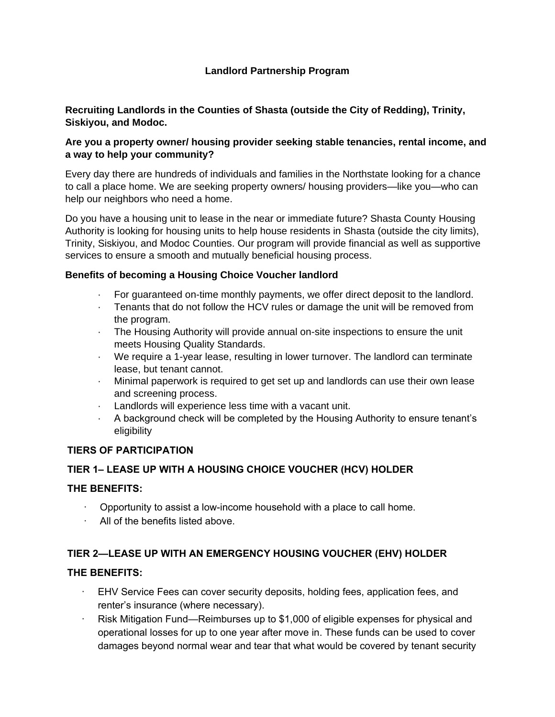# **Landlord Partnership Program**

## **Recruiting Landlords in the Counties of Shasta (outside the City of Redding), Trinity, Siskiyou, and Modoc.**

## **Are you a property owner/ housing provider seeking stable tenancies, rental income, and a way to help your community?**

Every day there are hundreds of individuals and families in the Northstate looking for a chance to call a place home. We are seeking property owners/ housing providers—like you—who can help our neighbors who need a home.

Do you have a housing unit to lease in the near or immediate future? Shasta County Housing Authority is looking for housing units to help house residents in Shasta (outside the city limits), Trinity, Siskiyou, and Modoc Counties. Our program will provide financial as well as supportive services to ensure a smooth and mutually beneficial housing process.

#### **Benefits of becoming a Housing Choice Voucher landlord**

- · For guaranteed on-time monthly payments, we offer direct deposit to the landlord.
- · Tenants that do not follow the HCV rules or damage the unit will be removed from the program.
- · The Housing Authority will provide annual on-site inspections to ensure the unit meets Housing Quality Standards.
- · We require a 1-year lease, resulting in lower turnover. The landlord can terminate lease, but tenant cannot.
- · Minimal paperwork is required to get set up and landlords can use their own lease and screening process.
- · Landlords will experience less time with a vacant unit.
- · A background check will be completed by the Housing Authority to ensure tenant's eligibility

#### **TIERS OF PARTICIPATION**

#### **TIER 1– LEASE UP WITH A HOUSING CHOICE VOUCHER (HCV) HOLDER**

#### **THE BENEFITS:**

- · Opportunity to assist a low-income household with a place to call home.
- · All of the benefits listed above.

#### **TIER 2—LEASE UP WITH AN EMERGENCY HOUSING VOUCHER (EHV) HOLDER**

#### **THE BENEFITS:**

- EHV Service Fees can cover security deposits, holding fees, application fees, and renter's insurance (where necessary).
- Risk Mitigation Fund—Reimburses up to \$1,000 of eligible expenses for physical and operational losses for up to one year after move in. These funds can be used to cover damages beyond normal wear and tear that what would be covered by tenant security